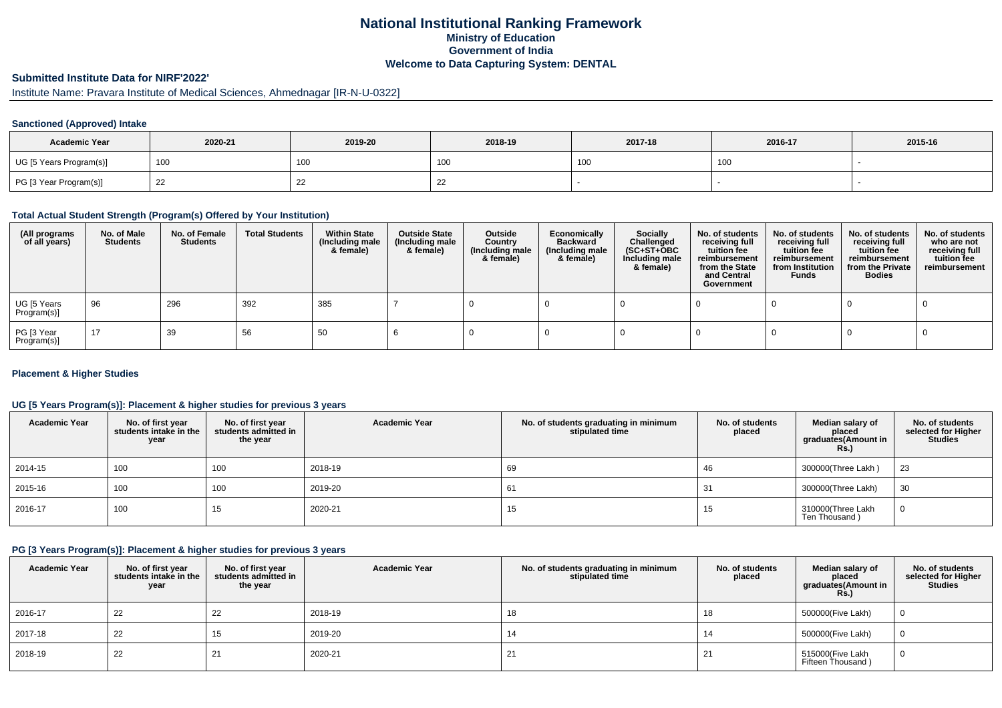## **National Institutional Ranking FrameworkMinistry of Education Government of IndiaWelcome to Data Capturing System: DENTAL**

# **Submitted Institute Data for NIRF'2022'**

# Institute Name: Pravara Institute of Medical Sciences, Ahmednagar [IR-N-U-0322]

### **Sanctioned (Approved) Intake**

| <b>Academic Year</b>    | 2020-21 | 2019-20         | 2017-18<br>2018-19 |                 | 2016-17 | 2015-16 |
|-------------------------|---------|-----------------|--------------------|-----------------|---------|---------|
| UG [5 Years Program(s)] | 100     | 10 <sub>C</sub> | าบน                | 10 <sub>C</sub> | 100     |         |
| PG [3 Year Program(s)]  | ᅩ       | --              | ∠∠                 |                 |         |         |

#### **Total Actual Student Strength (Program(s) Offered by Your Institution)**

| (All programs<br>of all years) | No. of Male<br><b>Students</b> | No. of Female<br>Students | <b>Total Students</b> | <b>Within State</b><br>(Including male<br>& female) | <b>Outside State</b><br>(Including male<br>& female) | Outside<br>Country<br>(Including male<br>& female) | Economically<br><b>Backward</b><br>(Including male<br>& female) | <b>Socially</b><br>Challenged<br>$(SC+ST+OBC)$<br>Including male<br>& female) | No. of students<br>receiving full<br>tuition fee<br>reimbursement<br>from the State<br>and Central<br>Government | No. of students<br>receiving full<br>tuition fee<br>reimbursement<br>from Institution<br><b>Funds</b> | No. of students<br>receiving full<br>tuition fee<br>reimbursement<br>from the Private<br><b>Bodies</b> | No. of students<br>who are not<br>receiving full<br>tuition fee<br>reimbursement |
|--------------------------------|--------------------------------|---------------------------|-----------------------|-----------------------------------------------------|------------------------------------------------------|----------------------------------------------------|-----------------------------------------------------------------|-------------------------------------------------------------------------------|------------------------------------------------------------------------------------------------------------------|-------------------------------------------------------------------------------------------------------|--------------------------------------------------------------------------------------------------------|----------------------------------------------------------------------------------|
| UG [5 Years<br>Program(s)]     | 96                             | 296                       | 392                   | 385                                                 |                                                      |                                                    |                                                                 |                                                                               |                                                                                                                  |                                                                                                       |                                                                                                        |                                                                                  |
| PG [3 Year<br>Program(s)]      | 17                             | 39                        | 56                    | 50                                                  |                                                      |                                                    |                                                                 |                                                                               |                                                                                                                  |                                                                                                       |                                                                                                        |                                                                                  |

#### **Placement & Higher Studies**

#### **UG [5 Years Program(s)]: Placement & higher studies for previous 3 years**

| <b>Academic Year</b> | No. of first year<br>students intake in the<br>year | No. of first vear<br>students admitted in<br>the year | <b>Academic Year</b> | No. of students graduating in minimum<br>stipulated time | No. of students<br>placed | Median salary of<br>placed<br>graduates(Amount in<br>Rs. | No. of students<br>selected for Higher<br><b>Studies</b> |
|----------------------|-----------------------------------------------------|-------------------------------------------------------|----------------------|----------------------------------------------------------|---------------------------|----------------------------------------------------------|----------------------------------------------------------|
| 2014-15              | 100                                                 | 100                                                   | 2018-19              | 69                                                       | 46                        | 300000(Three Lakh)                                       | 23                                                       |
| 2015-16              | 100                                                 | 100                                                   | 2019-20              | 61                                                       | 31                        | 300000(Three Lakh)                                       | 30                                                       |
| 2016-17              | 100                                                 | 15                                                    | 2020-21              | 15                                                       | 15                        | 310000(Three Lakh<br>Ten Thousand)                       | 0                                                        |

#### **PG [3 Years Program(s)]: Placement & higher studies for previous 3 years**

| <b>Academic Year</b> | No. of first year<br>students intake in the<br>year | No. of first year<br>students admitted in<br>the year | <b>Academic Year</b> | No. of students graduating in minimum<br>stipulated time | No. of students<br>placed | Median salary of<br>placed<br>graduates(Amount in<br><b>Rs.)</b> | No. of students<br>selected for Higher<br><b>Studies</b> |
|----------------------|-----------------------------------------------------|-------------------------------------------------------|----------------------|----------------------------------------------------------|---------------------------|------------------------------------------------------------------|----------------------------------------------------------|
| 2016-17              | 22                                                  | 22                                                    | 2018-19              | 18                                                       | 18                        | 500000(Five Lakh)                                                |                                                          |
| 2017-18              | 22                                                  | 15                                                    | 2019-20              | 14                                                       |                           | 500000(Five Lakh)                                                |                                                          |
| 2018-19              | 22                                                  | <u>_</u>                                              | 2020-21              | 21                                                       |                           | 515000(Five Lakh<br>Fifteen Thousand)                            |                                                          |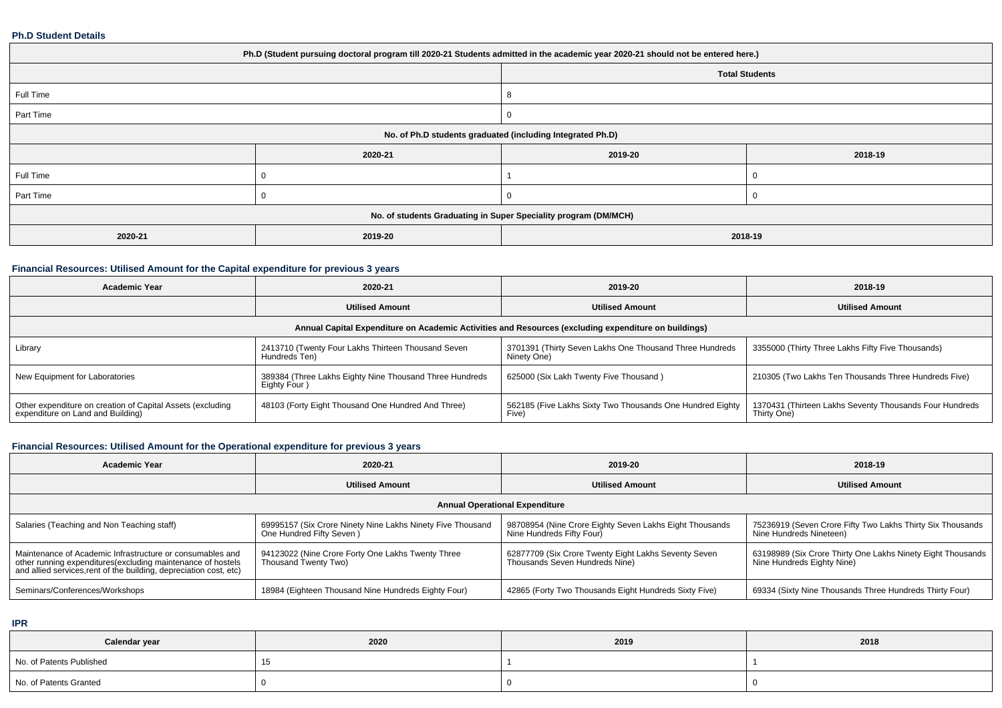#### **Ph.D Student Details**

| Ph.D (Student pursuing doctoral program till 2020-21 Students admitted in the academic year 2020-21 should not be entered here.) |         |                                                                 |         |  |  |  |  |
|----------------------------------------------------------------------------------------------------------------------------------|---------|-----------------------------------------------------------------|---------|--|--|--|--|
| <b>Total Students</b>                                                                                                            |         |                                                                 |         |  |  |  |  |
| Full Time                                                                                                                        |         |                                                                 |         |  |  |  |  |
| Part Time                                                                                                                        |         |                                                                 |         |  |  |  |  |
| No. of Ph.D students graduated (including Integrated Ph.D)                                                                       |         |                                                                 |         |  |  |  |  |
|                                                                                                                                  | 2020-21 | 2019-20                                                         | 2018-19 |  |  |  |  |
| Full Time                                                                                                                        |         |                                                                 |         |  |  |  |  |
| Part Time                                                                                                                        |         |                                                                 |         |  |  |  |  |
|                                                                                                                                  |         | No. of students Graduating in Super Speciality program (DM/MCH) |         |  |  |  |  |
| 2020-21                                                                                                                          | 2019-20 | 2018-19                                                         |         |  |  |  |  |

### **Financial Resources: Utilised Amount for the Capital expenditure for previous 3 years**

| Academic Year                                                                                        | 2020-21                                                                 | 2019-20                                                                | 2018-19                                                                |  |  |  |  |  |
|------------------------------------------------------------------------------------------------------|-------------------------------------------------------------------------|------------------------------------------------------------------------|------------------------------------------------------------------------|--|--|--|--|--|
|                                                                                                      | <b>Utilised Amount</b><br><b>Utilised Amount</b>                        |                                                                        | <b>Utilised Amount</b>                                                 |  |  |  |  |  |
| Annual Capital Expenditure on Academic Activities and Resources (excluding expenditure on buildings) |                                                                         |                                                                        |                                                                        |  |  |  |  |  |
| Library                                                                                              | 2413710 (Twenty Four Lakhs Thirteen Thousand Seven<br>Hundreds Ten)     | 3701391 (Thirty Seven Lakhs One Thousand Three Hundreds<br>Ninety One) | 3355000 (Thirty Three Lakhs Fifty Five Thousands)                      |  |  |  |  |  |
| New Equipment for Laboratories                                                                       | 389384 (Three Lakhs Eighty Nine Thousand Three Hundreds<br>Eighty Four) | 625000 (Six Lakh Twenty Five Thousand)                                 | 210305 (Two Lakhs Ten Thousands Three Hundreds Five)                   |  |  |  |  |  |
| Other expenditure on creation of Capital Assets (excluding<br>expenditure on Land and Building)      | 48103 (Forty Eight Thousand One Hundred And Three)                      | 562185 (Five Lakhs Sixty Two Thousands One Hundred Eighty<br>Five)     | 1370431 (Thirteen Lakhs Seventy Thousands Four Hundreds<br>Thirty One) |  |  |  |  |  |

## **Financial Resources: Utilised Amount for the Operational expenditure for previous 3 years**

| Academic Year                                                                                                                                                                                   | 2020-21                                                                                | 2019-20                                                                                | 2018-19                                                                                   |  |  |  |  |
|-------------------------------------------------------------------------------------------------------------------------------------------------------------------------------------------------|----------------------------------------------------------------------------------------|----------------------------------------------------------------------------------------|-------------------------------------------------------------------------------------------|--|--|--|--|
|                                                                                                                                                                                                 | <b>Utilised Amount</b>                                                                 | <b>Utilised Amount</b>                                                                 | <b>Utilised Amount</b>                                                                    |  |  |  |  |
| <b>Annual Operational Expenditure</b>                                                                                                                                                           |                                                                                        |                                                                                        |                                                                                           |  |  |  |  |
| Salaries (Teaching and Non Teaching staff)                                                                                                                                                      | 69995157 (Six Crore Ninety Nine Lakhs Ninety Five Thousand<br>One Hundred Fifty Seven) | 98708954 (Nine Crore Eighty Seven Lakhs Eight Thousands<br>Nine Hundreds Fifty Four)   | 75236919 (Seven Crore Fifty Two Lakhs Thirty Six Thousands<br>Nine Hundreds Nineteen)     |  |  |  |  |
| Maintenance of Academic Infrastructure or consumables and<br>other running expenditures (excluding maintenance of hostels<br>and allied services, rent of the building, depreciation cost, etc) | 94123022 (Nine Crore Forty One Lakhs Twenty Three<br>Thousand Twenty Two)              | 62877709 (Six Crore Twenty Eight Lakhs Seventy Seven<br>Thousands Seven Hundreds Nine) | 63198989 (Six Crore Thirty One Lakhs Ninety Eight Thousands<br>Nine Hundreds Eighty Nine) |  |  |  |  |
| Seminars/Conferences/Workshops                                                                                                                                                                  | 18984 (Eighteen Thousand Nine Hundreds Eighty Four)                                    | 42865 (Forty Two Thousands Eight Hundreds Sixty Five)                                  | 69334 (Sixty Nine Thousands Three Hundreds Thirty Four)                                   |  |  |  |  |

**IPR**

| Calendar year            | 2020 | 2019 | 2018 |
|--------------------------|------|------|------|
| No. of Patents Published |      |      |      |
| No. of Patents Granted   |      |      |      |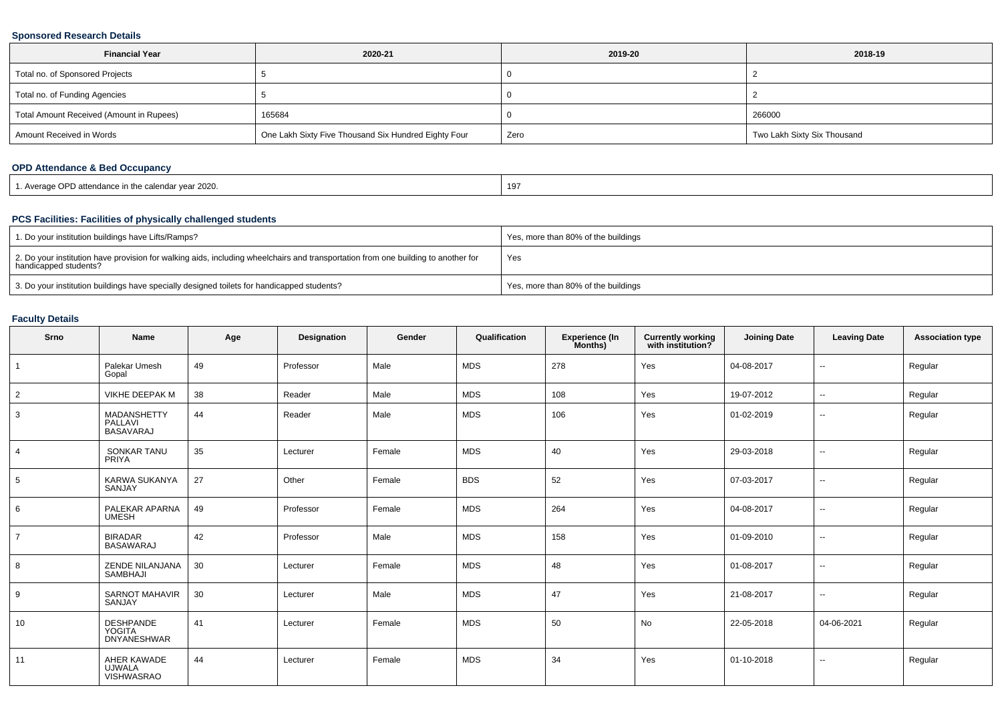#### **Sponsored Research Details**

| <b>Financial Year</b>                    | 2020-21                                              | 2019-20 | 2018-19                     |
|------------------------------------------|------------------------------------------------------|---------|-----------------------------|
| Total no. of Sponsored Projects          |                                                      |         |                             |
| Total no. of Funding Agencies            |                                                      |         |                             |
| Total Amount Received (Amount in Rupees) | 165684                                               |         | 266000                      |
| Amount Received in Words                 | One Lakh Sixty Five Thousand Six Hundred Eighty Four | Zero    | Two Lakh Sixty Six Thousand |

### **OPD Attendance & Bed Occupancy**

| 1. Average OPD attendance in the calendar vear 2020. | 197 |
|------------------------------------------------------|-----|
|------------------------------------------------------|-----|

### **PCS Facilities: Facilities of physically challenged students**

| 1. Do your institution buildings have Lifts/Ramps?                                                                                                         | Yes, more than 80% of the buildings |
|------------------------------------------------------------------------------------------------------------------------------------------------------------|-------------------------------------|
| 2. Do your institution have provision for walking aids, including wheelchairs and transportation from one building to another for<br>handicapped students? | Yes                                 |
| 3. Do your institution buildings have specially designed toilets for handicapped students?                                                                 | Yes, more than 80% of the buildings |

### **Faculty Details**

| Srno           | Name                                                    | Age | Designation | Gender | Qualification | Experience (In<br>Months) | <b>Currently working</b><br>with institution? | <b>Joining Date</b> | <b>Leaving Date</b>      | <b>Association type</b> |
|----------------|---------------------------------------------------------|-----|-------------|--------|---------------|---------------------------|-----------------------------------------------|---------------------|--------------------------|-------------------------|
|                | Palekar Umesh<br>Gopal                                  | 49  | Professor   | Male   | <b>MDS</b>    | 278                       | Yes                                           | 04-08-2017          | $\overline{\phantom{a}}$ | Regular                 |
| $\overline{2}$ | VIKHE DEEPAK M                                          | 38  | Reader      | Male   | <b>MDS</b>    | 108                       | Yes                                           | 19-07-2012          | $\sim$                   | Regular                 |
| 3              | <b>MADANSHETTY</b><br>PALLAVI<br><b>BASAVARAJ</b>       | 44  | Reader      | Male   | <b>MDS</b>    | 106                       | Yes                                           | 01-02-2019          | $\sim$                   | Regular                 |
| $\overline{4}$ | <b>SONKAR TANU</b><br>PRIYA                             | 35  | Lecturer    | Female | <b>MDS</b>    | 40                        | Yes                                           | 29-03-2018          | $\sim$                   | Regular                 |
| 5              | <b>KARWA SUKANYA</b><br>SANJAY                          | 27  | Other       | Female | <b>BDS</b>    | 52                        | Yes                                           | 07-03-2017          | $\overline{\phantom{a}}$ | Regular                 |
| 6              | PALEKAR APARNA<br><b>UMESH</b>                          | 49  | Professor   | Female | <b>MDS</b>    | 264                       | Yes                                           | 04-08-2017          | $\overline{\phantom{a}}$ | Regular                 |
| $\overline{7}$ | <b>BIRADAR</b><br><b>BASAWARAJ</b>                      | 42  | Professor   | Male   | <b>MDS</b>    | 158                       | Yes                                           | 01-09-2010          | $\overline{\phantom{a}}$ | Regular                 |
| 8              | ZENDE NILANJANA<br>SAMBHAJI                             | 30  | Lecturer    | Female | <b>MDS</b>    | 48                        | Yes                                           | 01-08-2017          | $\overline{\phantom{a}}$ | Regular                 |
| 9              | <b>SARNOT MAHAVIR</b><br>SANJAY                         | 30  | Lecturer    | Male   | <b>MDS</b>    | 47                        | Yes                                           | 21-08-2017          | $\overline{\phantom{a}}$ | Regular                 |
| 10             | <b>DESHPANDE</b><br><b>YOGITA</b><br><b>DNYANESHWAR</b> | 41  | Lecturer    | Female | <b>MDS</b>    | 50                        | No                                            | 22-05-2018          | 04-06-2021               | Regular                 |
| 11             | AHER KAWADE<br><b>UJWALA</b><br><b>VISHWASRAO</b>       | 44  | Lecturer    | Female | <b>MDS</b>    | 34                        | Yes                                           | 01-10-2018          | $\overline{\phantom{a}}$ | Regular                 |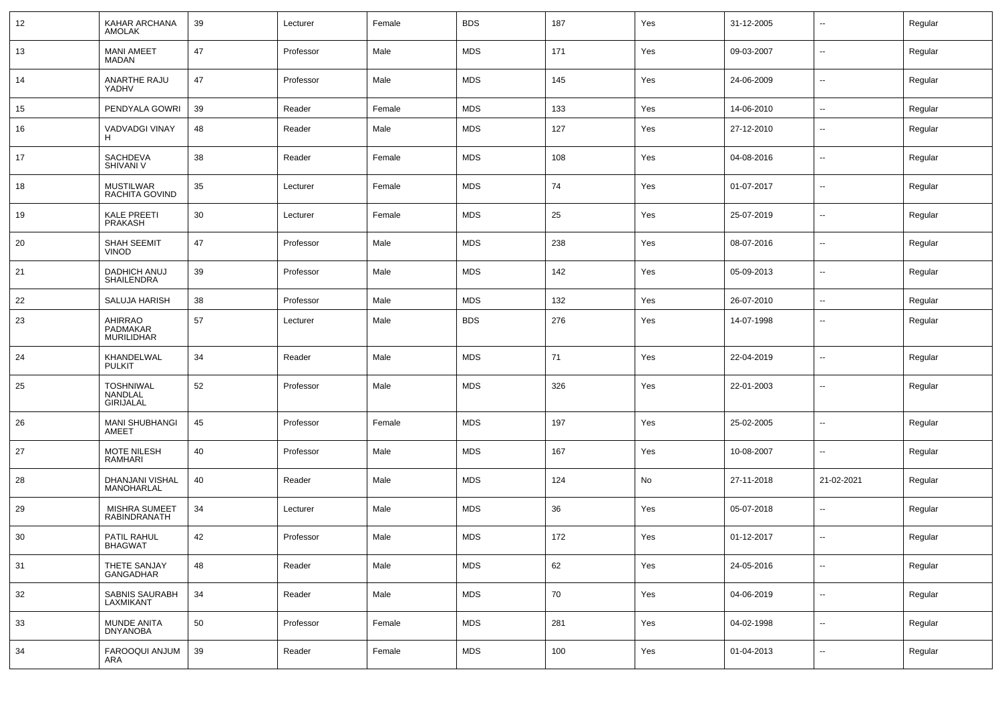| 12     | KAHAR ARCHANA<br><b>AMOLAK</b>                  | 39 | Lecturer  | Female | <b>BDS</b> | 187 | Yes | 31-12-2005 | $\sim$                   | Regular |
|--------|-------------------------------------------------|----|-----------|--------|------------|-----|-----|------------|--------------------------|---------|
| 13     | <b>MANI AMEET</b><br>MADAN                      | 47 | Professor | Male   | <b>MDS</b> | 171 | Yes | 09-03-2007 | $\sim$                   | Regular |
| 14     | ANARTHE RAJU<br>YADHV                           | 47 | Professor | Male   | <b>MDS</b> | 145 | Yes | 24-06-2009 | $\sim$                   | Regular |
| 15     | PENDYALA GOWRI                                  | 39 | Reader    | Female | <b>MDS</b> | 133 | Yes | 14-06-2010 | $\sim$                   | Regular |
| 16     | VADVADGI VINAY<br>Н                             | 48 | Reader    | Male   | <b>MDS</b> | 127 | Yes | 27-12-2010 | $\sim$                   | Regular |
| 17     | SACHDEVA<br>SHIVANI V                           | 38 | Reader    | Female | <b>MDS</b> | 108 | Yes | 04-08-2016 | $\sim$                   | Regular |
| 18     | <b>MUSTILWAR</b><br>RACHITA GOVIND              | 35 | Lecturer  | Female | <b>MDS</b> | 74  | Yes | 01-07-2017 | $\sim$                   | Regular |
| 19     | <b>KALE PREETI</b><br>PRAKASH                   | 30 | Lecturer  | Female | <b>MDS</b> | 25  | Yes | 25-07-2019 | $\sim$                   | Regular |
| 20     | SHAH SEEMIT<br><b>VINOD</b>                     | 47 | Professor | Male   | <b>MDS</b> | 238 | Yes | 08-07-2016 | $\sim$                   | Regular |
| 21     | DADHICH ANUJ<br>SHAILENDRA                      | 39 | Professor | Male   | <b>MDS</b> | 142 | Yes | 05-09-2013 | $\overline{\phantom{a}}$ | Regular |
| 22     | SALUJA HARISH                                   | 38 | Professor | Male   | <b>MDS</b> | 132 | Yes | 26-07-2010 | $\sim$                   | Regular |
| 23     | AHIRRAO<br>PADMAKAR<br><b>MURILIDHAR</b>        | 57 | Lecturer  | Male   | <b>BDS</b> | 276 | Yes | 14-07-1998 | $\overline{\phantom{a}}$ | Regular |
| 24     | KHANDELWAL<br><b>PULKIT</b>                     | 34 | Reader    | Male   | <b>MDS</b> | 71  | Yes | 22-04-2019 | $\sim$                   | Regular |
| 25     | <b>TOSHNIWAL</b><br>NANDLAL<br><b>GIRIJALAL</b> | 52 | Professor | Male   | <b>MDS</b> | 326 | Yes | 22-01-2003 | $\sim$                   | Regular |
| 26     | <b>MANI SHUBHANGI</b><br>AMEET                  | 45 | Professor | Female | <b>MDS</b> | 197 | Yes | 25-02-2005 | $\sim$                   | Regular |
| 27     | MOTE NILESH<br>RAMHARI                          | 40 | Professor | Male   | <b>MDS</b> | 167 | Yes | 10-08-2007 | $\sim$                   | Regular |
| 28     | DHANJANI VISHAL<br>MANOHARLAL                   | 40 | Reader    | Male   | <b>MDS</b> | 124 | No  | 27-11-2018 | 21-02-2021               | Regular |
| 29     | <b>MISHRA SUMEET</b><br><b>RABINDRANATH</b>     | 34 | Lecturer  | Male   | <b>MDS</b> | 36  | Yes | 05-07-2018 | $\sim$                   | Regular |
| 30     | PATIL RAHUL<br><b>BHAGWAT</b>                   | 42 | Professor | Male   | <b>MDS</b> | 172 | Yes | 01-12-2017 | $\overline{\phantom{a}}$ | Regular |
| 31     | THETE SANJAY<br>GANGADHAR                       | 48 | Reader    | Male   | <b>MDS</b> | 62  | Yes | 24-05-2016 | $\overline{\phantom{a}}$ | Regular |
| 32     | SABNIS SAURABH<br>LAXMIKANT                     | 34 | Reader    | Male   | <b>MDS</b> | 70  | Yes | 04-06-2019 | $\sim$                   | Regular |
| $33\,$ | MUNDE ANITA<br><b>DNYANOBA</b>                  | 50 | Professor | Female | <b>MDS</b> | 281 | Yes | 04-02-1998 | Щ,                       | Regular |
| 34     | FAROOQUI ANJUM<br>ARA                           | 39 | Reader    | Female | <b>MDS</b> | 100 | Yes | 01-04-2013 | $\overline{\phantom{a}}$ | Regular |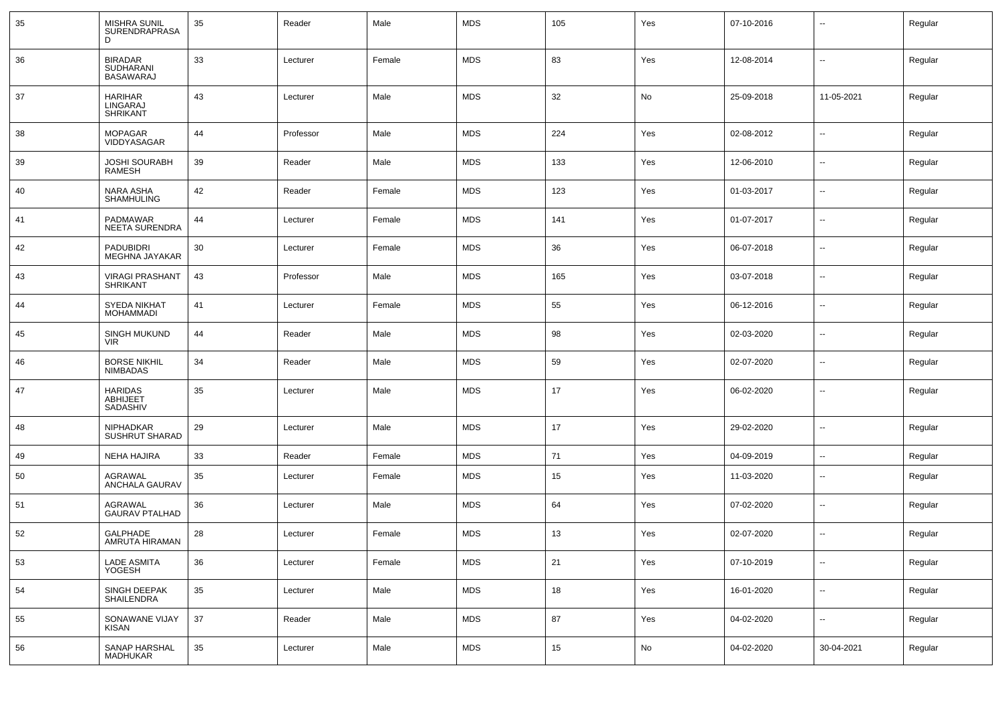| 35 | MISHRA SUNIL<br>SURENDRAPRASA<br>D                     | 35 | Reader    | Male   | <b>MDS</b> | 105 | Yes           | 07-10-2016 | --                       | Regular |
|----|--------------------------------------------------------|----|-----------|--------|------------|-----|---------------|------------|--------------------------|---------|
| 36 | <b>BIRADAR</b><br><b>SUDHARANI</b><br><b>BASAWARAJ</b> | 33 | Lecturer  | Female | <b>MDS</b> | 83  | Yes           | 12-08-2014 | $\overline{\phantom{a}}$ | Regular |
| 37 | <b>HARIHAR</b><br>LINGARAJ<br>SHRIKANT                 | 43 | Lecturer  | Male   | <b>MDS</b> | 32  | No            | 25-09-2018 | 11-05-2021               | Regular |
| 38 | <b>MOPAGAR</b><br>VIDDYASAGAR                          | 44 | Professor | Male   | <b>MDS</b> | 224 | Yes           | 02-08-2012 | $\overline{\phantom{a}}$ | Regular |
| 39 | <b>JOSHI SOURABH</b><br>RAMESH                         | 39 | Reader    | Male   | <b>MDS</b> | 133 | Yes           | 12-06-2010 | $\overline{\phantom{a}}$ | Regular |
| 40 | NARA ASHA<br>SHAMHULING                                | 42 | Reader    | Female | <b>MDS</b> | 123 | Yes           | 01-03-2017 | $\overline{\phantom{a}}$ | Regular |
| 41 | PADMAWAR<br>NEETA SURENDRA                             | 44 | Lecturer  | Female | <b>MDS</b> | 141 | Yes           | 01-07-2017 | $\overline{\phantom{a}}$ | Regular |
| 42 | <b>PADUBIDRI</b><br>MEGHNA JAYAKAR                     | 30 | Lecturer  | Female | <b>MDS</b> | 36  | Yes           | 06-07-2018 | $\overline{\phantom{a}}$ | Regular |
| 43 | <b>VIRAGI PRASHANT</b><br><b>SHRIKANT</b>              | 43 | Professor | Male   | <b>MDS</b> | 165 | Yes           | 03-07-2018 | Щ,                       | Regular |
| 44 | SYEDA NIKHAT<br><b>MOHAMMADI</b>                       | 41 | Lecturer  | Female | <b>MDS</b> | 55  | Yes           | 06-12-2016 | $\overline{\phantom{a}}$ | Regular |
| 45 | <b>SINGH MUKUND</b><br><b>VIR</b>                      | 44 | Reader    | Male   | <b>MDS</b> | 98  | Yes           | 02-03-2020 | $\overline{\phantom{a}}$ | Regular |
| 46 | <b>BORSE NIKHIL</b><br><b>NIMBADAS</b>                 | 34 | Reader    | Male   | <b>MDS</b> | 59  | Yes           | 02-07-2020 | $\overline{\phantom{a}}$ | Regular |
| 47 | <b>HARIDAS</b><br>ABHIJEET<br>SADASHIV                 | 35 | Lecturer  | Male   | <b>MDS</b> | 17  | Yes           | 06-02-2020 | $\overline{\phantom{a}}$ | Regular |
| 48 | NIPHADKAR<br><b>SUSHRUT SHARAD</b>                     | 29 | Lecturer  | Male   | <b>MDS</b> | 17  | Yes           | 29-02-2020 | $\overline{\phantom{a}}$ | Regular |
| 49 | <b>NEHA HAJIRA</b>                                     | 33 | Reader    | Female | <b>MDS</b> | 71  | Yes           | 04-09-2019 | $\sim$                   | Regular |
| 50 | <b>AGRAWAL</b><br>ANCHALA GAURAV                       | 35 | Lecturer  | Female | <b>MDS</b> | 15  | Yes           | 11-03-2020 | --                       | Regular |
| 51 | AGRAWAL<br><b>GAURAV PTALHAD</b>                       | 36 | Lecturer  | Male   | <b>MDS</b> | 64  | Yes           | 07-02-2020 | $\overline{\phantom{a}}$ | Regular |
| 52 | <b>GALPHADE</b><br>AMRUTA HIRAMAN                      | 28 | Lecturer  | Female | <b>MDS</b> | 13  | Yes           | 02-07-2020 | $\overline{\phantom{a}}$ | Regular |
| 53 | <b>LADE ASMITA</b><br>YOGESH                           | 36 | Lecturer  | Female | <b>MDS</b> | 21  | Yes           | 07-10-2019 | Щ,                       | Regular |
| 54 | SINGH DEEPAK<br>SHAILENDRA                             | 35 | Lecturer  | Male   | <b>MDS</b> | 18  | Yes           | 16-01-2020 | $\overline{\phantom{a}}$ | Regular |
| 55 | SONAWANE VIJAY<br><b>KISAN</b>                         | 37 | Reader    | Male   | <b>MDS</b> | 87  | Yes           | 04-02-2020 | Щ,                       | Regular |
| 56 | SANAP HARSHAL<br>MADHUKAR                              | 35 | Lecturer  | Male   | <b>MDS</b> | 15  | $\mathsf{No}$ | 04-02-2020 | 30-04-2021               | Regular |